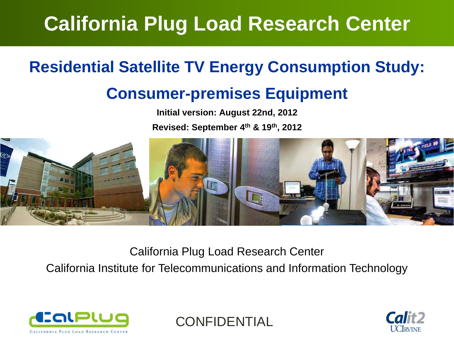## **California Plug Load Research Center**

### **Residential Satellite TV Energy Consumption Study:**

#### **Consumer-premises Equipment**

**Initial version: August 22nd, 2012**

**Revised: September 4th & 19th, 2012**



California Plug Load Research Center

California Institute for Telecommunications and Information Technology



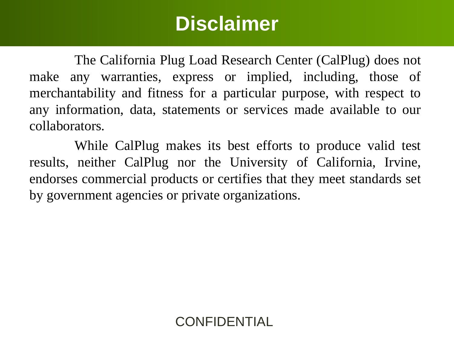### **Disclaimer**

The California Plug Load Research Center (CalPlug) does not make any warranties, express or implied, including, those of merchantability and fitness for <sup>a</sup> particular purpose, with respec<sup>t</sup> to any information, data, statements or services made available to our collaborators.

While CalPlug makes its best efforts to produce valid test results, neither CalPlug nor the University of California, Irvine, endorses commercial products or certifies that they meet standards set by governmen<sup>t</sup> agencies or private organizations.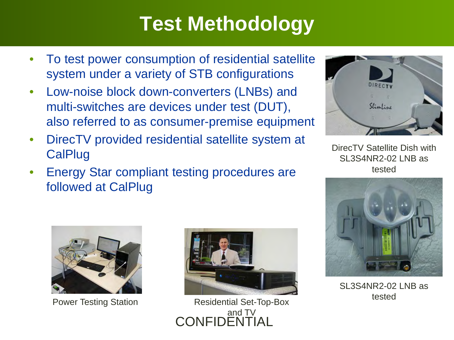## **Test Methodology**

- • To test power consumption of residential satellite system under a variety of STB configurations
- • Low-noise block down-converters (LNBs) and multi-switches are devices under test (DUT), also referred to as consumer-premise equipment
- • DirecTV provided residential satellite system at **CalPlug**
- • Energy Star compliant testing procedures are followed at CalPlug



DirecTV Satellite Dish with SL3S4NR2-02 LNB as tested





**CONFIDENTI** Power Testing Station Residential Set-Top-Box and TV



SL3S4NR2-02 LNB as tested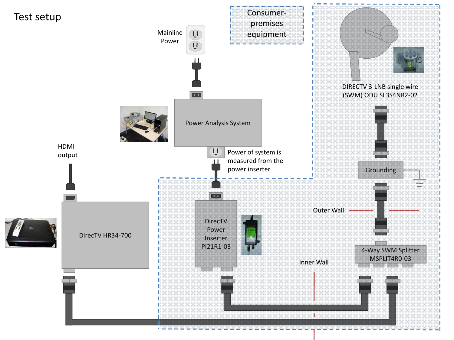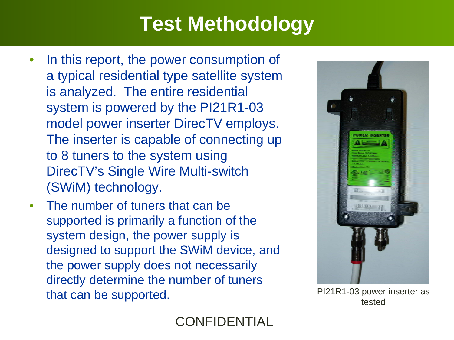# **Test Methodology**

- • In this report, the power consumption of a typical residential type satellite system is analyzed. The entire residential system is powered by the PI21R1-03 model power inserter DirecTV employs. The inserter is capable of connecting up to 8 tuners to the system using DirecTV's Single Wire Multi-switch (SWiM) technology.
- • The number of tuners that can be supported is primarily a function of the system design, the power supply is designed to support the SWiM device, and the power supply does not necessarily directly determine the number of tuners that can be supported.<br> **EXECUTE:** PI21R1-03 power inserter as tested

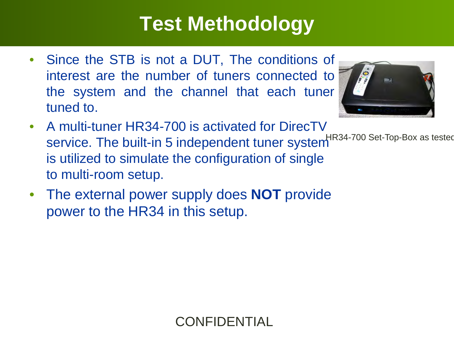## **Test Methodology**

• Since the STB is not <sup>a</sup> DUT, The conditions of interest are the number of tuners connected to the system and the channel that each tuner tuned to.



- A multi-tuner HR34-700 is activated for DirecTV <code>service</code>. The built-in 5 independent tuner system  $^{\rm HR34\text{-}700\text{ Set}\text{-}Top\text{-}Box}$  as tested is utilized to simulate the configuration of single to multi-room setup.
- The external power supply does **NOT** provide power to the HR34 in this setup.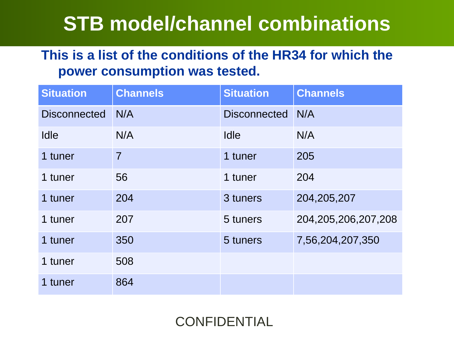### **STB model/channel combinations**

#### **This is a list of the conditions of the HR34 for which the power consumption was tested.**

| <b>Situation</b>    | <b>Channels</b> | <b>Situation</b>    | <b>Channels</b>         |
|---------------------|-----------------|---------------------|-------------------------|
| <b>Disconnected</b> | N/A             | <b>Disconnected</b> | N/A                     |
| Idle                | N/A             | <b>Idle</b>         | N/A                     |
| 1 tuner             | $\overline{7}$  | 1 tuner             | 205                     |
| 1 tuner             | 56              | 1 tuner             | 204                     |
| 1 tuner             | 204             | 3 tuners            | 204,205,207             |
| 1 tuner             | 207             | 5 tuners            | 204, 205, 206, 207, 208 |
| 1 tuner             | 350             | 5 tuners            | 7,56,204,207,350        |
| 1 tuner             | 508             |                     |                         |
| 1 tuner             | 864             |                     |                         |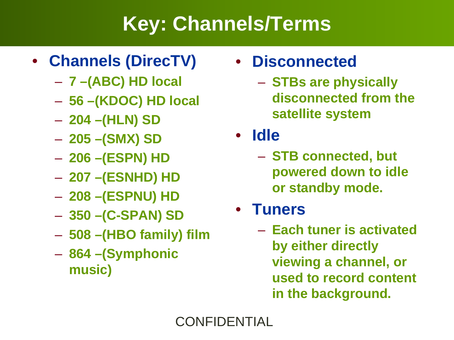## **Key: Channels/Terms**

#### • **Channels (DirecTV)**

- **7 –(ABC) HD local**
- **56 –(KDOC) HD local**
- **204 –(HLN) SD**
- **205 –(SMX) SD**
- $\mathcal{L}_{\mathcal{A}}$ **206 –(ESPN) HD**
- **207 –(ESNHD) HD**
- $\mathcal{L}_{\mathcal{A}}$ **208 –(ESPNU) HD**
- **350 –(C-SPAN) SD**
- –**508 –(HBO family) film**
- **864 –(Symphonic music)**

#### • **Disconnected**

- $\mathcal{L}_{\mathcal{A}}$  **STBs are physically disconnected from the satellite system**
- **Idle**
	- **STB connected, but powered down to idle or standby mode.**
- **Tuners**
	- **Each tuner is activated by either directly viewing a channel, or used to record content in the background.**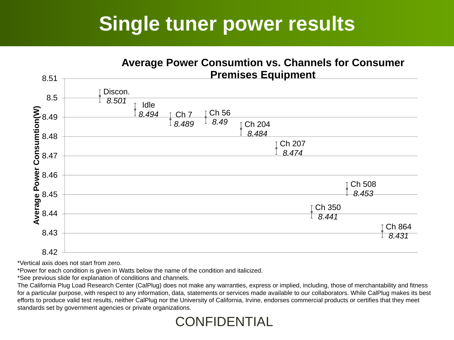### **Single tuner power results**



\*Vertical axis does not start from zero.

\*Power for each condition is given in Watts below the name of the condition and italicized.

\*See previous slide for explanation of conditions and channels.

The California Plug Load Research Center (CalPlug) does not make any warranties, express or implied, including, those of merchantability and fitness for a particular purpose, with respect to any information, data, statements or services made available to our collaborators. While CalPlug makes its best efforts to produce valid test results, neither CalPlug nor the University of California, Irvine, endorses commercial products or certifies that they meet standards set by government agencies or private organizations.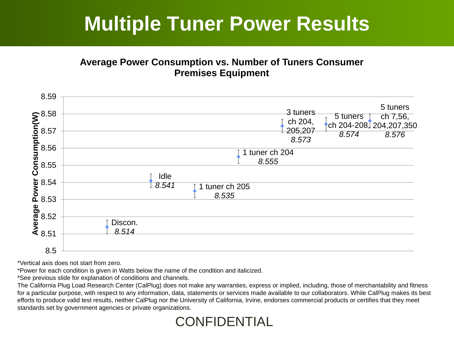### **Multiple Tuner Power Results**

#### **Average Power Consumption vs. Number of Tuners Consumer Premises Equipment**



\*Vertical axis does not start from zero.

\*Power for each condition is given in Watts below the name of the condition and italicized.

\*See previous slide for explanation of conditions and channels.

The California Plug Load Research Center (CalPlug) does not make any warranties, express or implied, including, those of merchantability and fitness for a particular purpose, with respect to any information, data, statements or services made available to our collaborators. While CalPlug makes its best efforts to produce valid test results, neither CalPlug nor the University of California, Irvine, endorses commercial products or certifies that they meet standards set by government agencies or private organizations.